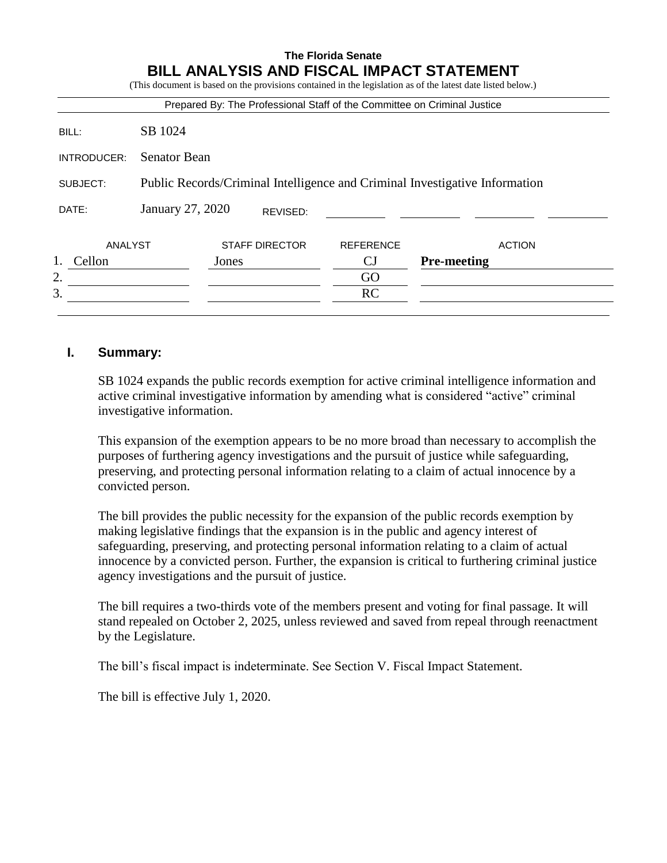# **The Florida Senate BILL ANALYSIS AND FISCAL IMPACT STATEMENT**

|             |                                                                             |       |                       |                  | Prepared By: The Professional Staff of the Committee on Criminal Justice |
|-------------|-----------------------------------------------------------------------------|-------|-----------------------|------------------|--------------------------------------------------------------------------|
| BILL:       | SB 1024                                                                     |       |                       |                  |                                                                          |
| INTRODUCER: | <b>Senator Bean</b>                                                         |       |                       |                  |                                                                          |
| SUBJECT:    | Public Records/Criminal Intelligence and Criminal Investigative Information |       |                       |                  |                                                                          |
| DATE:       | January 27, 2020                                                            |       | REVISED:              |                  |                                                                          |
|             |                                                                             |       |                       |                  |                                                                          |
| ANALYST     |                                                                             |       | <b>STAFF DIRECTOR</b> | <b>REFERENCE</b> | <b>ACTION</b>                                                            |
| Cellon      |                                                                             | Jones |                       | CJ               | <b>Pre-meeting</b>                                                       |
| 2.          |                                                                             |       |                       | GO               |                                                                          |

# **I. Summary:**

SB 1024 expands the public records exemption for active criminal intelligence information and active criminal investigative information by amending what is considered "active" criminal investigative information.

This expansion of the exemption appears to be no more broad than necessary to accomplish the purposes of furthering agency investigations and the pursuit of justice while safeguarding, preserving, and protecting personal information relating to a claim of actual innocence by a convicted person.

The bill provides the public necessity for the expansion of the public records exemption by making legislative findings that the expansion is in the public and agency interest of safeguarding, preserving, and protecting personal information relating to a claim of actual innocence by a convicted person. Further, the expansion is critical to furthering criminal justice agency investigations and the pursuit of justice.

The bill requires a two-thirds vote of the members present and voting for final passage. It will stand repealed on October 2, 2025, unless reviewed and saved from repeal through reenactment by the Legislature.

The bill's fiscal impact is indeterminate. See Section V. Fiscal Impact Statement.

The bill is effective July 1, 2020.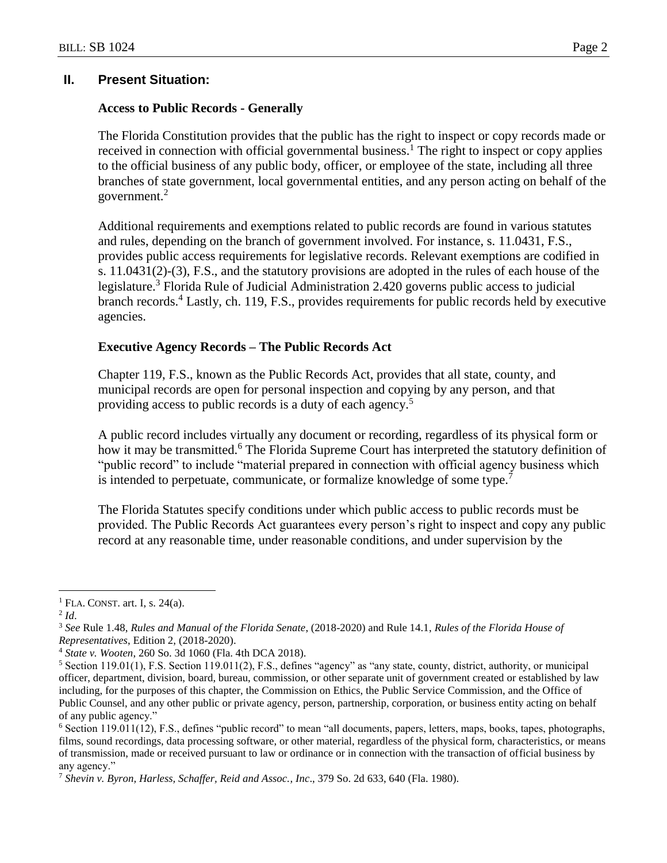## **II. Present Situation:**

## **Access to Public Records - Generally**

The Florida Constitution provides that the public has the right to inspect or copy records made or received in connection with official governmental business.<sup>1</sup> The right to inspect or copy applies to the official business of any public body, officer, or employee of the state, including all three branches of state government, local governmental entities, and any person acting on behalf of the government.<sup>2</sup>

Additional requirements and exemptions related to public records are found in various statutes and rules, depending on the branch of government involved. For instance, s. 11.0431, F.S., provides public access requirements for legislative records. Relevant exemptions are codified in s. 11.0431(2)-(3), F.S., and the statutory provisions are adopted in the rules of each house of the legislature.<sup>3</sup> Florida Rule of Judicial Administration 2.420 governs public access to judicial branch records.<sup>4</sup> Lastly, ch. 119, F.S., provides requirements for public records held by executive agencies.

## **Executive Agency Records – The Public Records Act**

Chapter 119, F.S., known as the Public Records Act, provides that all state, county, and municipal records are open for personal inspection and copying by any person, and that providing access to public records is a duty of each agency.<sup>5</sup>

A public record includes virtually any document or recording, regardless of its physical form or how it may be transmitted.<sup>6</sup> The Florida Supreme Court has interpreted the statutory definition of "public record" to include "material prepared in connection with official agency business which is intended to perpetuate, communicate, or formalize knowledge of some type.<sup>7</sup>

The Florida Statutes specify conditions under which public access to public records must be provided. The Public Records Act guarantees every person's right to inspect and copy any public record at any reasonable time, under reasonable conditions, and under supervision by the

 $\overline{a}$ 

 $<sup>1</sup>$  FLA. CONST. art. I, s. 24(a).</sup>

<sup>2</sup> *Id*.

<sup>3</sup> *See* Rule 1.48, *Rules and Manual of the Florida Senate*, (2018-2020) and Rule 14.1, *Rules of the Florida House of Representatives*, Edition 2, (2018-2020).

<sup>4</sup> *State v. Wooten*, 260 So. 3d 1060 (Fla. 4th DCA 2018).

<sup>5</sup> Section 119.01(1), F.S. Section 119.011(2), F.S., defines "agency" as "any state, county, district, authority, or municipal officer, department, division, board, bureau, commission, or other separate unit of government created or established by law including, for the purposes of this chapter, the Commission on Ethics, the Public Service Commission, and the Office of Public Counsel, and any other public or private agency, person, partnership, corporation, or business entity acting on behalf of any public agency."

<sup>6</sup> Section 119.011(12), F.S., defines "public record" to mean "all documents, papers, letters, maps, books, tapes, photographs, films, sound recordings, data processing software, or other material, regardless of the physical form, characteristics, or means of transmission, made or received pursuant to law or ordinance or in connection with the transaction of official business by any agency."

<sup>7</sup> *Shevin v. Byron, Harless, Schaffer, Reid and Assoc., Inc*., 379 So. 2d 633, 640 (Fla. 1980).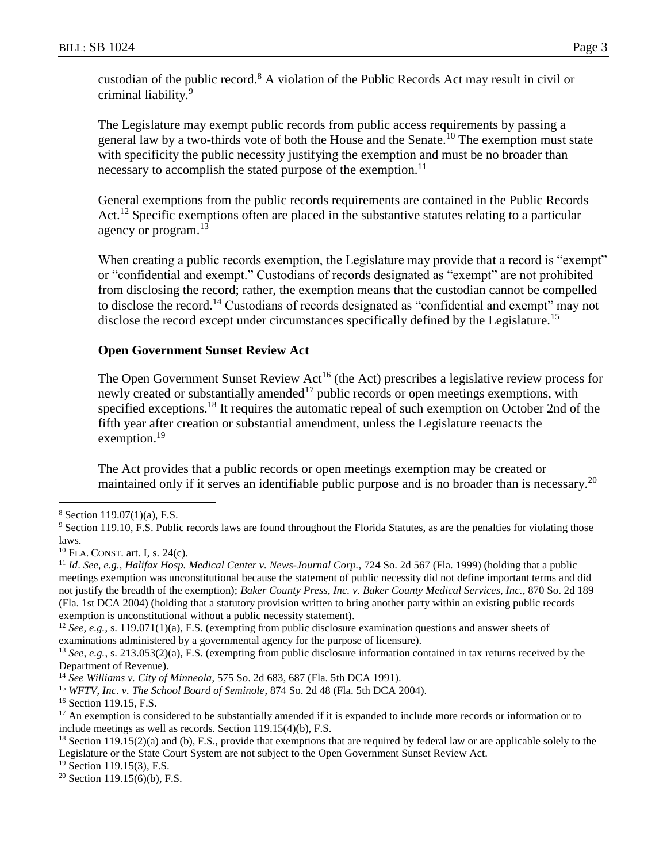custodian of the public record.<sup>8</sup> A violation of the Public Records Act may result in civil or criminal liability.<sup>9</sup>

The Legislature may exempt public records from public access requirements by passing a general law by a two-thirds vote of both the House and the Senate.<sup>10</sup> The exemption must state with specificity the public necessity justifying the exemption and must be no broader than necessary to accomplish the stated purpose of the exemption.<sup>11</sup>

General exemptions from the public records requirements are contained in the Public Records Act.<sup>12</sup> Specific exemptions often are placed in the substantive statutes relating to a particular agency or program.<sup>13</sup>

When creating a public records exemption, the Legislature may provide that a record is "exempt" or "confidential and exempt." Custodians of records designated as "exempt" are not prohibited from disclosing the record; rather, the exemption means that the custodian cannot be compelled to disclose the record.<sup>14</sup> Custodians of records designated as "confidential and exempt" may not disclose the record except under circumstances specifically defined by the Legislature.<sup>15</sup>

# **Open Government Sunset Review Act**

The Open Government Sunset Review Act<sup>16</sup> (the Act) prescribes a legislative review process for newly created or substantially amended<sup>17</sup> public records or open meetings exemptions, with specified exceptions.<sup>18</sup> It requires the automatic repeal of such exemption on October 2nd of the fifth year after creation or substantial amendment, unless the Legislature reenacts the exemption.<sup>19</sup>

The Act provides that a public records or open meetings exemption may be created or maintained only if it serves an identifiable public purpose and is no broader than is necessary.<sup>20</sup>

 $\overline{a}$ 

<sup>8</sup> Section 119.07(1)(a), F.S.

<sup>&</sup>lt;sup>9</sup> Section 119.10, F.S. Public records laws are found throughout the Florida Statutes, as are the penalties for violating those laws.

 $10$  FLA. CONST. art. I, s. 24(c).

<sup>11</sup> *Id*. *See, e.g.*, *Halifax Hosp. Medical Center v. News-Journal Corp.,* 724 So. 2d 567 (Fla. 1999) (holding that a public meetings exemption was unconstitutional because the statement of public necessity did not define important terms and did not justify the breadth of the exemption); *Baker County Press, Inc. v. Baker County Medical Services, Inc.*, 870 So. 2d 189 (Fla. 1st DCA 2004) (holding that a statutory provision written to bring another party within an existing public records exemption is unconstitutional without a public necessity statement).

<sup>&</sup>lt;sup>12</sup> *See, e.g.*, s. 119.071(1)(a), F.S. (exempting from public disclosure examination questions and answer sheets of examinations administered by a governmental agency for the purpose of licensure).

<sup>&</sup>lt;sup>13</sup> *See, e.g.*, s. 213.053(2)(a), F.S. (exempting from public disclosure information contained in tax returns received by the Department of Revenue).

<sup>14</sup> *See Williams v. City of Minneola*, 575 So. 2d 683, 687 (Fla. 5th DCA 1991).

<sup>15</sup> *WFTV, Inc. v. The School Board of Seminole*, 874 So. 2d 48 (Fla. 5th DCA 2004).

<sup>&</sup>lt;sup>16</sup> Section 119.15, F.S.

 $17$  An exemption is considered to be substantially amended if it is expanded to include more records or information or to include meetings as well as records. Section 119.15(4)(b), F.S.

 $18$  Section 119.15(2)(a) and (b), F.S., provide that exemptions that are required by federal law or are applicable solely to the Legislature or the State Court System are not subject to the Open Government Sunset Review Act.

<sup>&</sup>lt;sup>19</sup> Section 119.15(3), F.S.

 $20$  Section 119.15(6)(b), F.S.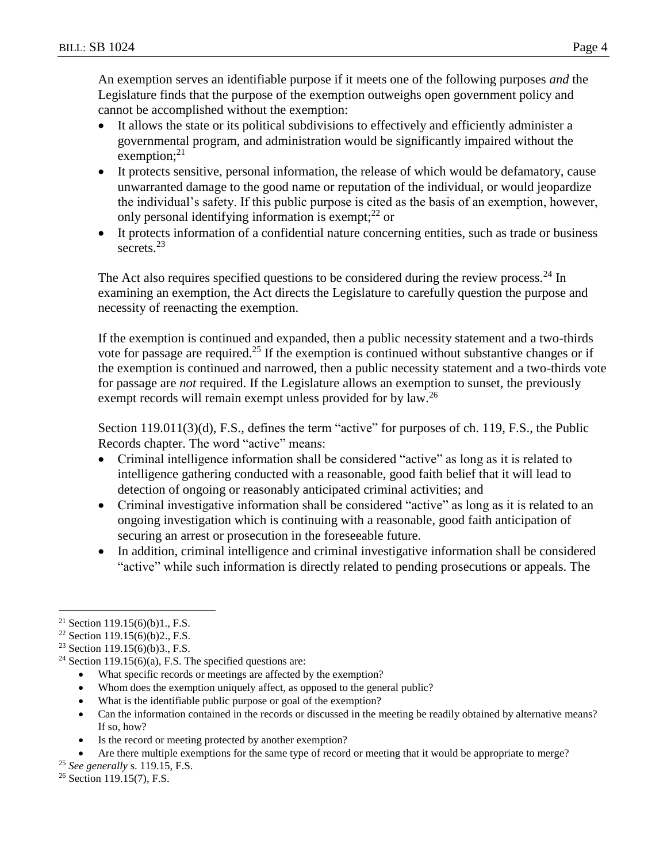An exemption serves an identifiable purpose if it meets one of the following purposes *and* the Legislature finds that the purpose of the exemption outweighs open government policy and cannot be accomplished without the exemption:

- It allows the state or its political subdivisions to effectively and efficiently administer a governmental program, and administration would be significantly impaired without the exemption; $^{21}$
- It protects sensitive, personal information, the release of which would be defamatory, cause unwarranted damage to the good name or reputation of the individual, or would jeopardize the individual's safety. If this public purpose is cited as the basis of an exemption, however, only personal identifying information is exempt; $^{22}$  or
- It protects information of a confidential nature concerning entities, such as trade or business secrets.<sup>23</sup>

The Act also requires specified questions to be considered during the review process.<sup>24</sup> In examining an exemption, the Act directs the Legislature to carefully question the purpose and necessity of reenacting the exemption.

If the exemption is continued and expanded, then a public necessity statement and a two-thirds vote for passage are required.<sup>25</sup> If the exemption is continued without substantive changes or if the exemption is continued and narrowed, then a public necessity statement and a two-thirds vote for passage are *not* required. If the Legislature allows an exemption to sunset, the previously exempt records will remain exempt unless provided for by law.<sup>26</sup>

Section 119.011(3)(d), F.S., defines the term "active" for purposes of ch. 119, F.S., the Public Records chapter. The word "active" means:

- Criminal intelligence information shall be considered "active" as long as it is related to intelligence gathering conducted with a reasonable, good faith belief that it will lead to detection of ongoing or reasonably anticipated criminal activities; and
- Criminal investigative information shall be considered "active" as long as it is related to an ongoing investigation which is continuing with a reasonable, good faith anticipation of securing an arrest or prosecution in the foreseeable future.
- In addition, criminal intelligence and criminal investigative information shall be considered "active" while such information is directly related to pending prosecutions or appeals. The

 $\overline{a}$ 

- What specific records or meetings are affected by the exemption?
- Whom does the exemption uniquely affect, as opposed to the general public?
- What is the identifiable public purpose or goal of the exemption?
- Can the information contained in the records or discussed in the meeting be readily obtained by alternative means? If so, how?
- Is the record or meeting protected by another exemption?
- Are there multiple exemptions for the same type of record or meeting that it would be appropriate to merge?

<sup>26</sup> Section 119.15(7), F.S.

<sup>&</sup>lt;sup>21</sup> Section 119.15(6)(b)1., F.S.

<sup>&</sup>lt;sup>22</sup> Section 119.15(6)(b)2., F.S.

<sup>&</sup>lt;sup>23</sup> Section 119.15(6)(b)3., F.S.

<sup>&</sup>lt;sup>24</sup> Section 119.15(6)(a), F.S. The specified questions are:

<sup>25</sup> *See generally* s. 119.15, F.S.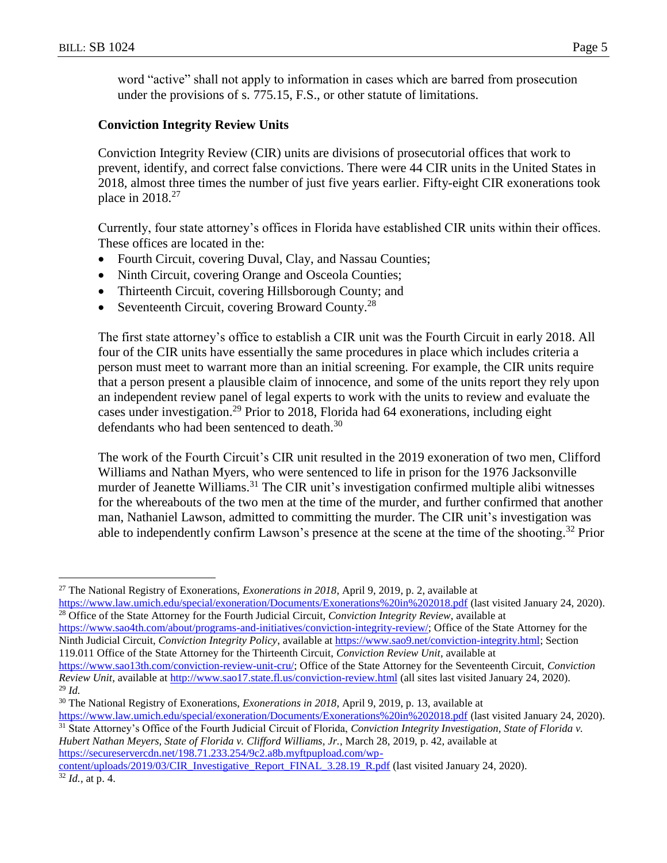$\overline{a}$ 

word "active" shall not apply to information in cases which are barred from prosecution under the provisions of s. 775.15, F.S., or other statute of limitations.

# **Conviction Integrity Review Units**

Conviction Integrity Review (CIR) units are divisions of prosecutorial offices that work to prevent, identify, and correct false convictions. There were 44 CIR units in the United States in 2018, almost three times the number of just five years earlier. Fifty-eight CIR exonerations took place in 2018.<sup>27</sup>

Currently, four state attorney's offices in Florida have established CIR units within their offices. These offices are located in the:

- Fourth Circuit, covering Duval, Clay, and Nassau Counties;
- Ninth Circuit, covering Orange and Osceola Counties;
- Thirteenth Circuit, covering Hillsborough County; and
- Seventeenth Circuit, covering Broward County.<sup>28</sup>

The first state attorney's office to establish a CIR unit was the Fourth Circuit in early 2018. All four of the CIR units have essentially the same procedures in place which includes criteria a person must meet to warrant more than an initial screening. For example, the CIR units require that a person present a plausible claim of innocence, and some of the units report they rely upon an independent review panel of legal experts to work with the units to review and evaluate the cases under investigation.<sup>29</sup> Prior to 2018, Florida had 64 exonerations, including eight defendants who had been sentenced to death.<sup>30</sup>

The work of the Fourth Circuit's CIR unit resulted in the 2019 exoneration of two men, Clifford Williams and Nathan Myers, who were sentenced to life in prison for the 1976 Jacksonville murder of Jeanette Williams.<sup>31</sup> The CIR unit's investigation confirmed multiple alibi witnesses for the whereabouts of the two men at the time of the murder, and further confirmed that another man, Nathaniel Lawson, admitted to committing the murder. The CIR unit's investigation was able to independently confirm Lawson's presence at the scene at the time of the shooting.<sup>32</sup> Prior

<sup>28</sup> Office of the State Attorney for the Fourth Judicial Circuit, *Conviction Integrity Review*, available at [https://www.sao4th.com/about/programs-and-initiatives/conviction-integrity-review/;](https://www.sao4th.com/about/programs-and-initiatives/conviction-integrity-review/) Office of the State Attorney for the Ninth Judicial Circuit, *Conviction Integrity Policy*, available at [https://www.sao9.net/conviction-integrity.html;](https://www.sao9.net/conviction-integrity.html) Section 119.011 Office of the State Attorney for the Thirteenth Circuit, *Conviction Review Unit*, available at

[https://www.sao13th.com/conviction-review-unit-cru/;](https://www.sao13th.com/conviction-review-unit-cru/) Office of the State Attorney for the Seventeenth Circuit, *Conviction Review Unit*, available at<http://www.sao17.state.fl.us/conviction-review.html> (all sites last visited January 24, 2020). <sup>29</sup> *Id.*

<sup>31</sup> State Attorney's Office of the Fourth Judicial Circuit of Florida, *Conviction Integrity Investigation, State of Florida v. Hubert Nathan Meyers, State of Florida v. Clifford Williams, Jr.*, March 28, 2019, p. 42, available at [https://secureservercdn.net/198.71.233.254/9c2.a8b.myftpupload.com/wp-](https://secureservercdn.net/198.71.233.254/9c2.a8b.myftpupload.com/wp-content/uploads/2019/03/CIR_Investigative_Report_FINAL_3.28.19_R.pdf)

[content/uploads/2019/03/CIR\\_Investigative\\_Report\\_FINAL\\_3.28.19\\_R.pdf](https://secureservercdn.net/198.71.233.254/9c2.a8b.myftpupload.com/wp-content/uploads/2019/03/CIR_Investigative_Report_FINAL_3.28.19_R.pdf) (last visited January 24, 2020). <sup>32</sup> *Id.*, at p. 4.

<sup>27</sup> The National Registry of Exonerations, *Exonerations in 2018*, April 9, 2019, p. 2, available at <https://www.law.umich.edu/special/exoneration/Documents/Exonerations%20in%202018.pdf> (last visited January 24, 2020).

<sup>30</sup> The National Registry of Exonerations, *Exonerations in 2018*, April 9, 2019, p. 13, available at <https://www.law.umich.edu/special/exoneration/Documents/Exonerations%20in%202018.pdf> (last visited January 24, 2020).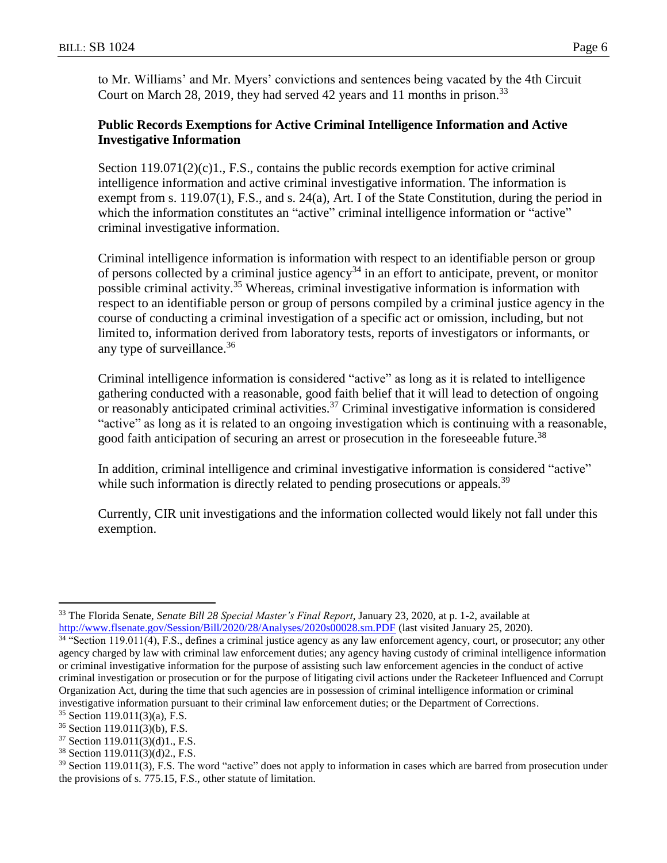to Mr. Williams' and Mr. Myers' convictions and sentences being vacated by the 4th Circuit Court on March 28, 2019, they had served 42 years and 11 months in prison.<sup>33</sup>

# **Public Records Exemptions for Active Criminal Intelligence Information and Active Investigative Information**

Section  $119.071(2)(c)1$ , F.S., contains the public records exemption for active criminal intelligence information and active criminal investigative information. The information is exempt from s. 119.07(1), F.S., and s. 24(a), Art. I of the State Constitution, during the period in which the information constitutes an "active" criminal intelligence information or "active" criminal investigative information.

Criminal intelligence information is information with respect to an identifiable person or group of persons collected by a criminal justice agency<sup>34</sup> in an effort to anticipate, prevent, or monitor possible criminal activity.<sup>35</sup> Whereas, criminal investigative information is information with respect to an identifiable person or group of persons compiled by a criminal justice agency in the course of conducting a criminal investigation of a specific act or omission, including, but not limited to, information derived from laboratory tests, reports of investigators or informants, or any type of surveillance. 36

Criminal intelligence information is considered "active" as long as it is related to intelligence gathering conducted with a reasonable, good faith belief that it will lead to detection of ongoing or reasonably anticipated criminal activities.<sup>37</sup> Criminal investigative information is considered "active" as long as it is related to an ongoing investigation which is continuing with a reasonable, good faith anticipation of securing an arrest or prosecution in the foreseeable future.<sup>38</sup>

In addition, criminal intelligence and criminal investigative information is considered "active" while such information is directly related to pending prosecutions or appeals.<sup>39</sup>

Currently, CIR unit investigations and the information collected would likely not fall under this exemption.

 $\overline{a}$ 

<sup>33</sup> The Florida Senate, *Senate Bill 28 Special Master's Final Report*, January 23, 2020, at p. 1-2, available at <http://www.flsenate.gov/Session/Bill/2020/28/Analyses/2020s00028.sm.PDF> (last visited January 25, 2020).

<sup>&</sup>lt;sup>34 "</sup>Section 119.011(4), F.S., defines a criminal justice agency as any law enforcement agency, court, or prosecutor; any other agency charged by law with criminal law enforcement duties; any agency having custody of criminal intelligence information or criminal investigative information for the purpose of assisting such law enforcement agencies in the conduct of active criminal investigation or prosecution or for the purpose of litigating civil actions under the Racketeer Influenced and Corrupt Organization Act, during the time that such agencies are in possession of criminal intelligence information or criminal investigative information pursuant to their criminal law enforcement duties; or the Department of Corrections.

 $35$  Section 119.011(3)(a), F.S.

<sup>36</sup> Section 119.011(3)(b), F.S.

<sup>37</sup> Section 119.011(3)(d)1., F.S.

<sup>38</sup> Section 119.011(3)(d)2., F.S.

<sup>&</sup>lt;sup>39</sup> Section 119.011(3), F.S. The word "active" does not apply to information in cases which are barred from prosecution under the provisions of s. 775.15, F.S., other statute of limitation.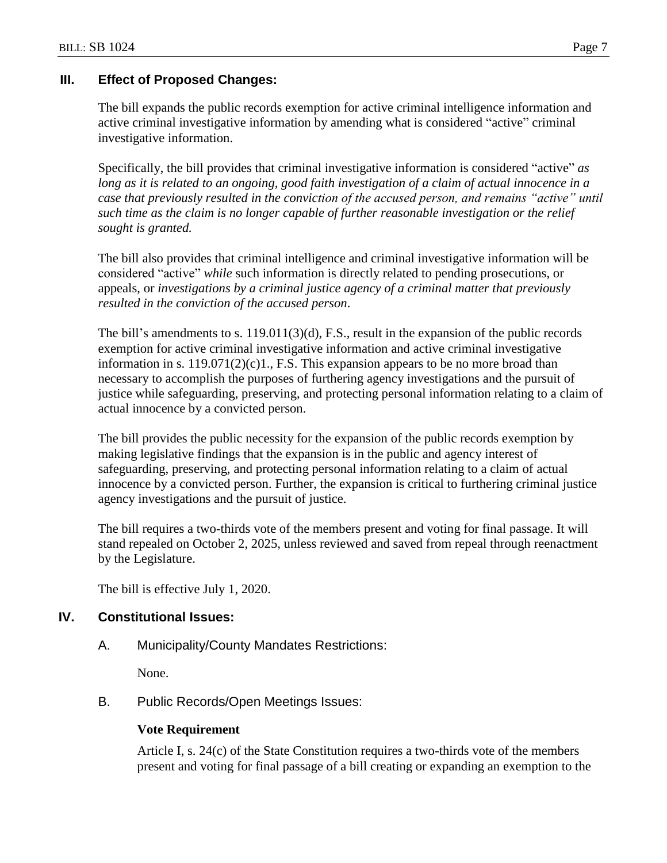# **III. Effect of Proposed Changes:**

The bill expands the public records exemption for active criminal intelligence information and active criminal investigative information by amending what is considered "active" criminal investigative information.

Specifically, the bill provides that criminal investigative information is considered "active" *as*  long as it is related to an ongoing, good faith investigation of a claim of actual innocence in a *case that previously resulted in the conviction of the accused person, and remains "active" until such time as the claim is no longer capable of further reasonable investigation or the relief sought is granted.*

The bill also provides that criminal intelligence and criminal investigative information will be considered "active" *while* such information is directly related to pending prosecutions, or appeals, or *investigations by a criminal justice agency of a criminal matter that previously resulted in the conviction of the accused person*.

The bill's amendments to s. 119.011(3)(d), F.S., result in the expansion of the public records exemption for active criminal investigative information and active criminal investigative information in s.  $119.071(2)(c)1$ ., F.S. This expansion appears to be no more broad than necessary to accomplish the purposes of furthering agency investigations and the pursuit of justice while safeguarding, preserving, and protecting personal information relating to a claim of actual innocence by a convicted person.

The bill provides the public necessity for the expansion of the public records exemption by making legislative findings that the expansion is in the public and agency interest of safeguarding, preserving, and protecting personal information relating to a claim of actual innocence by a convicted person. Further, the expansion is critical to furthering criminal justice agency investigations and the pursuit of justice.

The bill requires a two-thirds vote of the members present and voting for final passage. It will stand repealed on October 2, 2025, unless reviewed and saved from repeal through reenactment by the Legislature.

The bill is effective July 1, 2020.

## **IV. Constitutional Issues:**

A. Municipality/County Mandates Restrictions:

None.

B. Public Records/Open Meetings Issues:

#### **Vote Requirement**

Article I, s. 24(c) of the State Constitution requires a two-thirds vote of the members present and voting for final passage of a bill creating or expanding an exemption to the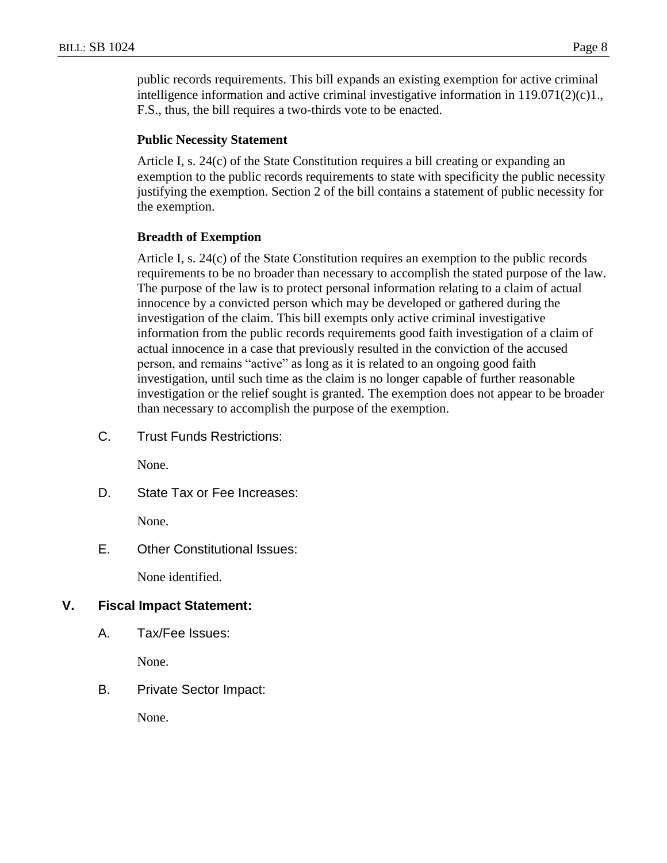public records requirements. This bill expands an existing exemption for active criminal intelligence information and active criminal investigative information in  $119.071(2)(c)1$ . F.S., thus, the bill requires a two-thirds vote to be enacted.

## **Public Necessity Statement**

Article I, s. 24(c) of the State Constitution requires a bill creating or expanding an exemption to the public records requirements to state with specificity the public necessity justifying the exemption. Section 2 of the bill contains a statement of public necessity for the exemption.

## **Breadth of Exemption**

Article I, s. 24(c) of the State Constitution requires an exemption to the public records requirements to be no broader than necessary to accomplish the stated purpose of the law. The purpose of the law is to protect personal information relating to a claim of actual innocence by a convicted person which may be developed or gathered during the investigation of the claim. This bill exempts only active criminal investigative information from the public records requirements good faith investigation of a claim of actual innocence in a case that previously resulted in the conviction of the accused person, and remains "active" as long as it is related to an ongoing good faith investigation, until such time as the claim is no longer capable of further reasonable investigation or the relief sought is granted. The exemption does not appear to be broader than necessary to accomplish the purpose of the exemption.

C. Trust Funds Restrictions:

None.

D. State Tax or Fee Increases:

None.

E. Other Constitutional Issues:

None identified.

## **V. Fiscal Impact Statement:**

A. Tax/Fee Issues:

None.

B. Private Sector Impact:

None.